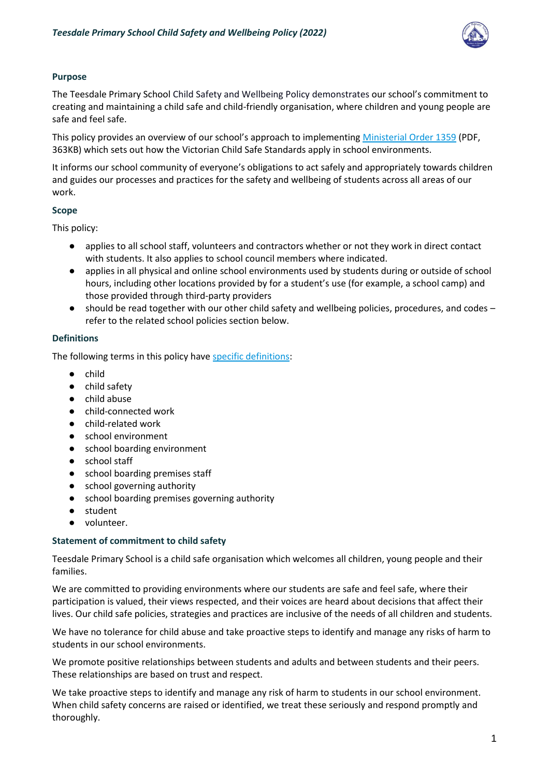

# **Purpose**

The Teesdale Primary School Child Safety and Wellbeing Policy demonstrates our school's commitment to creating and maintaining a child safe and child-friendly organisation, where children and young people are safe and feel safe.

This policy provides an overview of our school's approach to implementing [Ministerial Order 1359](https://www.education.vic.gov.au/Documents/about/programs/health/protect/Ministerial_Order.pdf) (PDF, 363KB) which sets out how the Victorian Child Safe Standards apply in school environments.

It informs our school community of everyone's obligations to act safely and appropriately towards children and guides our processes and practices for the safety and wellbeing of students across all areas of our work.

# **Scope**

This policy:

- applies to all school staff, volunteers and contractors whether or not they work in direct contact with students. It also applies to school council members where indicated.
- applies in all physical and online school environments used by students during or outside of school hours, including other locations provided by for a student's use (for example, a school camp) and those provided through third-party providers
- should be read together with our other child safety and wellbeing policies, procedures, and codes refer to the related school policies section below.

# **Definitions**

The following terms in this policy hav[e specific definitions:](https://www.vic.gov.au/child-safe-standards-definitions)

- child
- child safety
- child abuse
- child-connected work
- child-related work
- school environment
- school boarding environment
- school staff
- school boarding premises staff
- school governing authority
- school boarding premises governing authority
- student
- volunteer.

# **Statement of commitment to child safety**

Teesdale Primary School is a child safe organisation which welcomes all children, young people and their families.

We are committed to providing environments where our students are safe and feel safe, where their participation is valued, their views respected, and their voices are heard about decisions that affect their lives. Our child safe policies, strategies and practices are inclusive of the needs of all children and students.

We have no tolerance for child abuse and take proactive steps to identify and manage any risks of harm to students in our school environments.

We promote positive relationships between students and adults and between students and their peers. These relationships are based on trust and respect.

We take proactive steps to identify and manage any risk of harm to students in our school environment. When child safety concerns are raised or identified, we treat these seriously and respond promptly and thoroughly.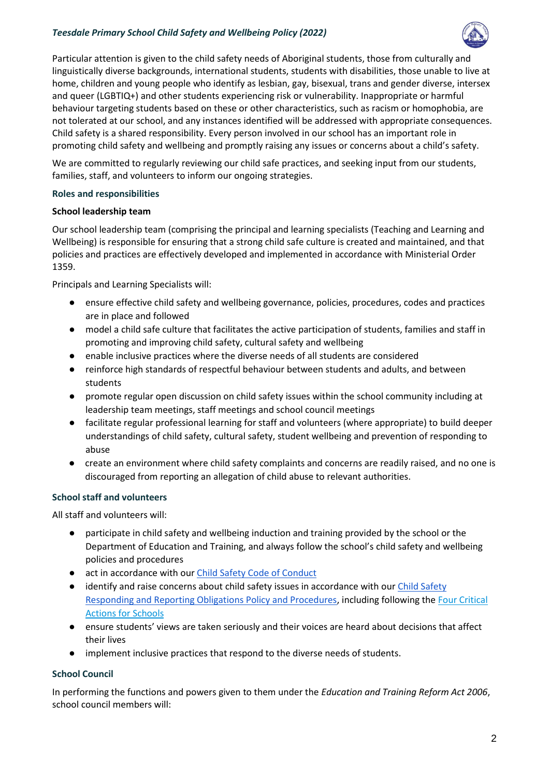### *Teesdale Primary School Child Safety and Wellbeing Policy (2022)*



Particular attention is given to the child safety needs of Aboriginal students, those from culturally and linguistically diverse backgrounds, international students, students with disabilities, those unable to live at home, children and young people who identify as lesbian, gay, bisexual, trans and gender diverse, intersex and queer (LGBTIQ+) and other students experiencing risk or vulnerability. Inappropriate or harmful behaviour targeting students based on these or other characteristics, such as racism or homophobia, are not tolerated at our school, and any instances identified will be addressed with appropriate consequences. Child safety is a shared responsibility. Every person involved in our school has an important role in promoting child safety and wellbeing and promptly raising any issues or concerns about a child's safety.

We are committed to regularly reviewing our child safe practices, and seeking input from our students, families, staff, and volunteers to inform our ongoing strategies.

### **Roles and responsibilities**

### **School leadership team**

Our school leadership team (comprising the principal and learning specialists (Teaching and Learning and Wellbeing) is responsible for ensuring that a strong child safe culture is created and maintained, and that policies and practices are effectively developed and implemented in accordance with Ministerial Order 1359.

Principals and Learning Specialists will:

- ensure effective child safety and wellbeing governance, policies, procedures, codes and practices are in place and followed
- model a child safe culture that facilitates the active participation of students, families and staff in promoting and improving child safety, cultural safety and wellbeing
- enable inclusive practices where the diverse needs of all students are considered
- reinforce high standards of respectful behaviour between students and adults, and between students
- promote regular open discussion on child safety issues within the school community including at leadership team meetings, staff meetings and school council meetings
- facilitate regular professional learning for staff and volunteers (where appropriate) to build deeper understandings of child safety, cultural safety, student wellbeing and prevention of responding to abuse
- create an environment where child safety complaints and concerns are readily raised, and no one is discouraged from reporting an allegation of child abuse to relevant authorities.

# **School staff and volunteers**

All staff and volunteers will:

- participate in child safety and wellbeing induction and training provided by the school or the Department of Education and Training, and always follow the school's child safety and wellbeing policies and procedures
- act in accordance with ou[r Child Safety Code of Conduct](https://www.teesdaleps.vic.edu.au/uploads/Child-Safe-Code-of-Conduct-2021_2022-06-03-000345_bubl.pdf)
- identify and raise concerns about child safety issues in accordance with our *Child Safety* [Responding and Reporting Obligations Policy and Procedures,](https://www.teesdaleps.vic.edu.au/uploads/TPS-Policies/Child-Safety-Responding-and-Reporting-Policy-and-Procedures-March-2019.pdf) including following th[e Four Critical](https://www.education.vic.gov.au/school/teachers/health/childprotection/Pages/report.aspx)  [Actions for Schools](https://www.education.vic.gov.au/school/teachers/health/childprotection/Pages/report.aspx)
- ensure students' views are taken seriously and their voices are heard about decisions that affect their lives
- implement inclusive practices that respond to the diverse needs of students.

# **School Council**

In performing the functions and powers given to them under the *Education and Training Reform Act 2006*, school council members will: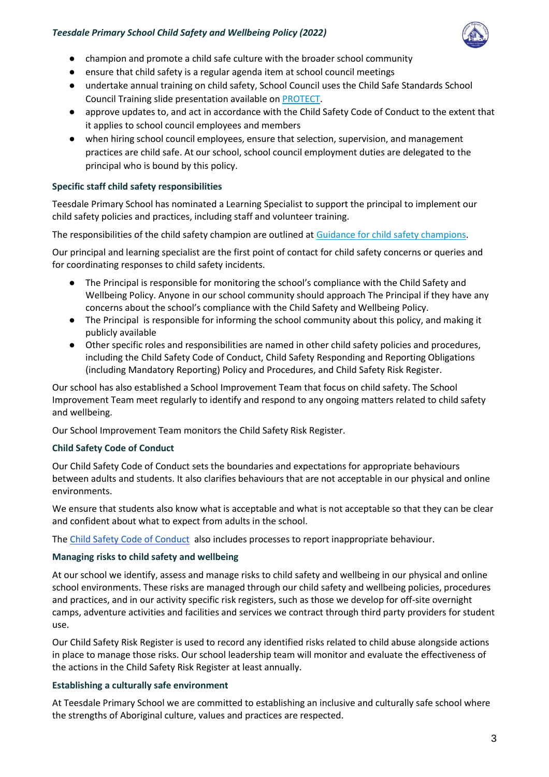

- champion and promote a child safe culture with the broader school community
- ensure that child safety is a regular agenda item at school council meetings
- undertake annual training on child safety, School Council uses the Child Safe Standards School Council Training slide presentation available on [PROTECT.](http://www.vic.gov.au/protect)
- approve updates to, and act in accordance with the Child Safety Code of Conduct to the extent that it applies to school council employees and members
- when hiring school council employees, ensure that selection, supervision, and management practices are child safe. At our school, school council employment duties are delegated to the principal who is bound by this policy.

### **Specific staff child safety responsibilities**

Teesdale Primary School has nominated a Learning Specialist to support the principal to implement our child safety policies and practices, including staff and volunteer training.

The responsibilities of the child safety champion are outlined at [Guidance for child safety champions.](https://www.vic.gov.au/guidance-child-safety-champions)

Our principal and learning specialist are the first point of contact for child safety concerns or queries and for coordinating responses to child safety incidents.

- The Principal is responsible for monitoring the school's compliance with the Child Safety and Wellbeing Policy. Anyone in our school community should approach The Principal if they have any concerns about the school's compliance with the Child Safety and Wellbeing Policy.
- The Principal is responsible for informing the school community about this policy, and making it publicly available
- Other specific roles and responsibilities are named in other child safety policies and procedures, including the Child Safety Code of Conduct, Child Safety Responding and Reporting Obligations (including Mandatory Reporting) Policy and Procedures, and Child Safety Risk Register.

Our school has also established a School Improvement Team that focus on child safety. The School Improvement Team meet regularly to identify and respond to any ongoing matters related to child safety and wellbeing.

Our School Improvement Team monitors the Child Safety Risk Register.

# **Child Safety Code of Conduct**

Our Child Safety Code of Conduct sets the boundaries and expectations for appropriate behaviours between adults and students. It also clarifies behaviours that are not acceptable in our physical and online environments.

We ensure that students also know what is acceptable and what is not acceptable so that they can be clear and confident about what to expect from adults in the school.

The [Child Safety Code of Conduct](https://www.teesdaleps.vic.edu.au/uploads/Child-Safe-Code-of-Conduct-2021_2022-06-03-000345_bubl.pdf) also includes processes to report inappropriate behaviour.

#### **Managing risks to child safety and wellbeing**

At our school we identify, assess and manage risks to child safety and wellbeing in our physical and online school environments. These risks are managed through our child safety and wellbeing policies, procedures and practices, and in our activity specific risk registers, such as those we develop for off-site overnight camps, adventure activities and facilities and services we contract through third party providers for student use.

Our Child Safety Risk Register is used to record any identified risks related to child abuse alongside actions in place to manage those risks. Our school leadership team will monitor and evaluate the effectiveness of the actions in the Child Safety Risk Register at least annually.

#### **Establishing a culturally safe environment**

At Teesdale Primary School we are committed to establishing an inclusive and culturally safe school where the strengths of Aboriginal culture, values and practices are respected.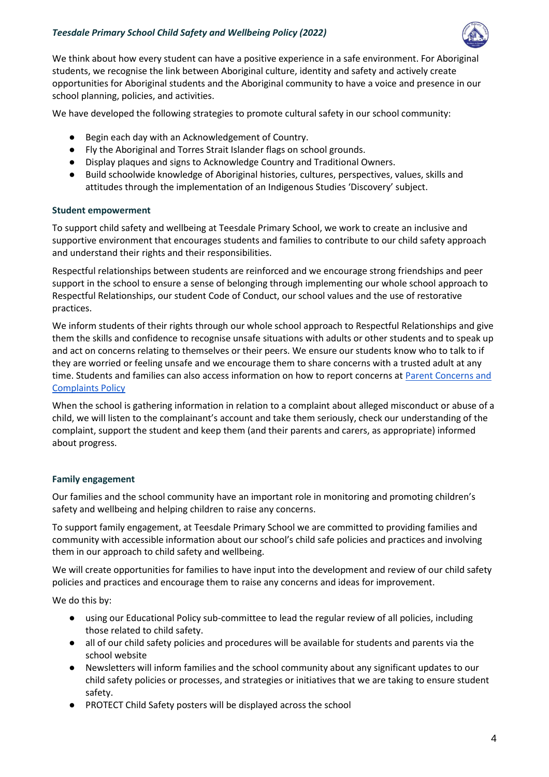

We think about how every student can have a positive experience in a safe environment. For Aboriginal students, we recognise the link between Aboriginal culture, identity and safety and actively create opportunities for Aboriginal students and the Aboriginal community to have a voice and presence in our school planning, policies, and activities.

We have developed the following strategies to promote cultural safety in our school community:

- Begin each day with an Acknowledgement of Country.
- Fly the Aboriginal and Torres Strait Islander flags on school grounds.
- Display plaques and signs to Acknowledge Country and Traditional Owners.
- Build schoolwide knowledge of Aboriginal histories, cultures, perspectives, values, skills and attitudes through the implementation of an Indigenous Studies 'Discovery' subject.

#### **Student empowerment**

To support child safety and wellbeing at Teesdale Primary School, we work to create an inclusive and supportive environment that encourages students and families to contribute to our child safety approach and understand their rights and their responsibilities.

Respectful relationships between students are reinforced and we encourage strong friendships and peer support in the school to ensure a sense of belonging through implementing our whole school approach to Respectful Relationships, our student Code of Conduct, our school values and the use of restorative practices.

We inform students of their rights through our whole school approach to Respectful Relationships and give them the skills and confidence to recognise unsafe situations with adults or other students and to speak up and act on concerns relating to themselves or their peers. We ensure our students know who to talk to if they are worried or feeling unsafe and we encourage them to share concerns with a trusted adult at any time. Students and families can also access information on how to report concerns at Parent Concerns and [Complaints Policy](https://www.teesdaleps.vic.edu.au/uploads/TPS-Policies/Complaints-Policy-2019.pdf)

When the school is gathering information in relation to a complaint about alleged misconduct or abuse of a child, we will listen to the complainant's account and take them seriously, check our understanding of the complaint, support the student and keep them (and their parents and carers, as appropriate) informed about progress.

#### **Family engagement**

Our families and the school community have an important role in monitoring and promoting children's safety and wellbeing and helping children to raise any concerns.

To support family engagement, at Teesdale Primary School we are committed to providing families and community with accessible information about our school's child safe policies and practices and involving them in our approach to child safety and wellbeing.

We will create opportunities for families to have input into the development and review of our child safety policies and practices and encourage them to raise any concerns and ideas for improvement.

We do this by:

- using our Educational Policy sub-committee to lead the regular review of all policies, including those related to child safety.
- all of our child safety policies and procedures will be available for students and parents via the school website
- Newsletters will inform families and the school community about any significant updates to our child safety policies or processes, and strategies or initiatives that we are taking to ensure student safety.
- PROTECT Child Safety posters will be displayed across the school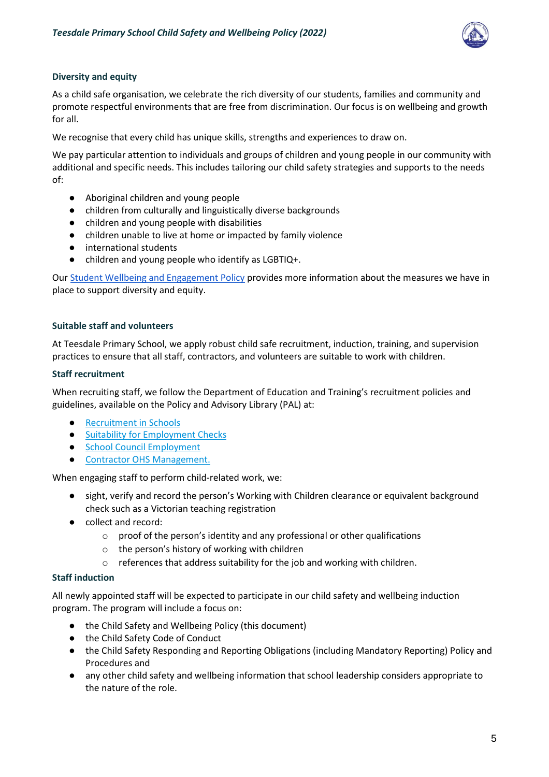

### **Diversity and equity**

As a child safe organisation, we celebrate the rich diversity of our students, families and community and promote respectful environments that are free from discrimination. Our focus is on wellbeing and growth for all.

We recognise that every child has unique skills, strengths and experiences to draw on.

We pay particular attention to individuals and groups of children and young people in our community with additional and specific needs. This includes tailoring our child safety strategies and supports to the needs of:

- Aboriginal children and young people
- children from culturally and linguistically diverse backgrounds
- children and young people with disabilities
- children unable to live at home or impacted by family violence
- international students
- children and young people who identify as LGBTIQ+.

Our [Student Wellbeing and Engagement Policy](https://www.teesdaleps.vic.edu.au/uploads/TPS-Policies/Engagement-and-Wellbeing-Policy-2020.pdf) provides more information about the measures we have in place to support diversity and equity.

#### **Suitable staff and volunteers**

At Teesdale Primary School, we apply robust child safe recruitment, induction, training, and supervision practices to ensure that all staff, contractors, and volunteers are suitable to work with children.

#### **Staff recruitment**

When recruiting staff, we follow the Department of Education and Training's recruitment policies and guidelines, available on the Policy and Advisory Library (PAL) at:

- [Recruitment in Schools](https://www2.education.vic.gov.au/pal/recruitment-schools/overview)
- [Suitability for Employment Checks](https://www2.education.vic.gov.au/pal/suitability-employment-checks/overview)
- [School Council Employment](https://www2.education.vic.gov.au/pal/school-council-employment/overview)
- [Contractor OHS Management.](https://www2.education.vic.gov.au/pal/contractor-ohs-management/policy)

When engaging staff to perform child-related work, we:

- sight, verify and record the person's Working with Children clearance or equivalent background check such as a Victorian teaching registration
- collect and record:
	- o proof of the person's identity and any professional or other qualifications
	- o the person's history of working with children
	- o references that address suitability for the job and working with children.

#### **Staff induction**

All newly appointed staff will be expected to participate in our child safety and wellbeing induction program. The program will include a focus on:

- the Child Safety and Wellbeing Policy (this document)
- the Child Safety Code of Conduct
- the Child Safety Responding and Reporting Obligations (including Mandatory Reporting) Policy and Procedures and
- any other child safety and wellbeing information that school leadership considers appropriate to the nature of the role.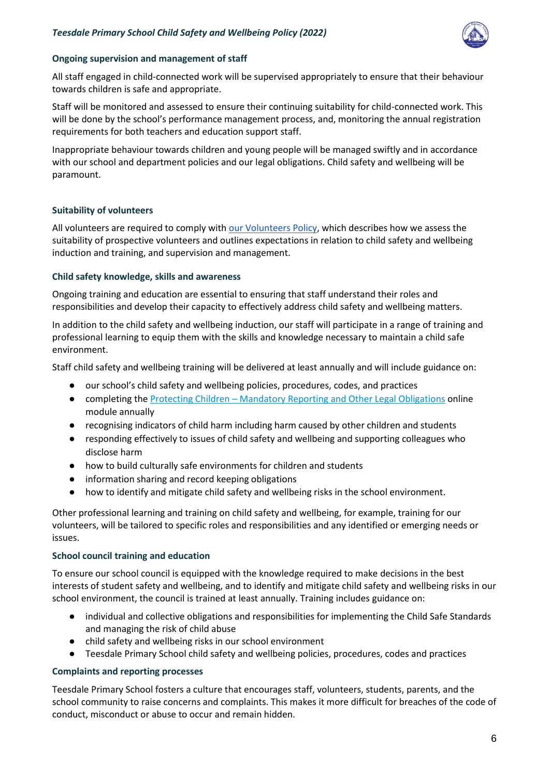

### **Ongoing supervision and management of staff**

All staff engaged in child-connected work will be supervised appropriately to ensure that their behaviour towards children is safe and appropriate.

Staff will be monitored and assessed to ensure their continuing suitability for child-connected work. This will be done by the school's performance management process, and, monitoring the annual registration requirements for both teachers and education support staff.

Inappropriate behaviour towards children and young people will be managed swiftly and in accordance with our school and department policies and our legal obligations. Child safety and wellbeing will be paramount.

### **Suitability of volunteers**

All volunteers are required to comply with [our Volunteers Policy,](https://www.teesdaleps.vic.edu.au/uploads/TPS-Policies/Volunteers-Policy-2021.pdf) which describes how we assess the suitability of prospective volunteers and outlines expectations in relation to child safety and wellbeing induction and training, and supervision and management.

### **Child safety knowledge, skills and awareness**

Ongoing training and education are essential to ensuring that staff understand their roles and responsibilities and develop their capacity to effectively address child safety and wellbeing matters.

In addition to the child safety and wellbeing induction, our staff will participate in a range of training and professional learning to equip them with the skills and knowledge necessary to maintain a child safe environment.

Staff child safety and wellbeing training will be delivered at least annually and will include guidance on:

- our school's child safety and wellbeing policies, procedures, codes, and practices
- completing the Protecting Children [Mandatory Reporting and Other Legal Obligations](http://elearn.com.au/det/protectingchildren/) online module annually
- recognising indicators of child harm including harm caused by other children and students
- responding effectively to issues of child safety and wellbeing and supporting colleagues who disclose harm
- how to build culturally safe environments for children and students
- information sharing and record keeping obligations
- how to identify and mitigate child safety and wellbeing risks in the school environment.

Other professional learning and training on child safety and wellbeing, for example, training for our volunteers, will be tailored to specific roles and responsibilities and any identified or emerging needs or issues.

#### **School council training and education**

To ensure our school council is equipped with the knowledge required to make decisions in the best interests of student safety and wellbeing, and to identify and mitigate child safety and wellbeing risks in our school environment, the council is trained at least annually. Training includes guidance on:

- individual and collective obligations and responsibilities for implementing the Child Safe Standards and managing the risk of child abuse
- child safety and wellbeing risks in our school environment
- Teesdale Primary School child safety and wellbeing policies, procedures, codes and practices

# **Complaints and reporting processes**

Teesdale Primary School fosters a culture that encourages staff, volunteers, students, parents, and the school community to raise concerns and complaints. This makes it more difficult for breaches of the code of conduct, misconduct or abuse to occur and remain hidden.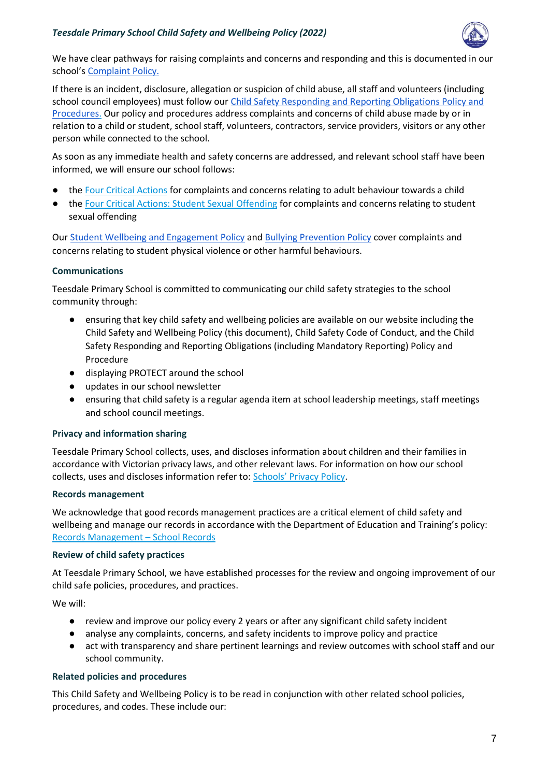

We have clear pathways for raising complaints and concerns and responding and this is documented in our school's [Complaint Policy.](https://www.teesdaleps.vic.edu.au/uploads/TPS-Policies/Complaints-Policy-2019.pdf)

If there is an incident, disclosure, allegation or suspicion of child abuse, all staff and volunteers (including school council employees) must follow our [Child Safety Responding and Reporting Obligations Policy and](https://www.teesdaleps.vic.edu.au/uploads/TPS-Policies/Child-Safety-Responding-and-Reporting-Policy-and-Procedures-March-2019.pdf)  [Procedures.](https://www.teesdaleps.vic.edu.au/uploads/TPS-Policies/Child-Safety-Responding-and-Reporting-Policy-and-Procedures-March-2019.pdf) Our policy and procedures address complaints and concerns of child abuse made by or in relation to a child or student, school staff, volunteers, contractors, service providers, visitors or any other person while connected to the school.

As soon as any immediate health and safety concerns are addressed, and relevant school staff have been informed, we will ensure our school follows:

- the [Four Critical Actions](https://www.education.vic.gov.au/Documents/about/programs/health/protect/FourCriticalActions_ChildAbuse.pdf) for complaints and concerns relating to adult behaviour towards a child
- the [Four Critical Actions: Student Sexual Offending](https://www.education.vic.gov.au/school/teachers/health/childprotection/Pages/stusexual.aspx) for complaints and concerns relating to student sexual offending

Our [Student Wellbeing and Engagement Policy](https://www.teesdaleps.vic.edu.au/uploads/TPS-Policies/Engagement-and-Wellbeing-Policy-2020.pdf) and [Bullying Prevention Policy](https://www.teesdaleps.vic.edu.au/uploads/TPS-Policies/Bullying-Prevention-Policy-2020.pdf) cover complaints and concerns relating to student physical violence or other harmful behaviours.

# **Communications**

Teesdale Primary School is committed to communicating our child safety strategies to the school community through:

- ensuring that key child safety and wellbeing policies are available on our website including the Child Safety and Wellbeing Policy (this document), Child Safety Code of Conduct, and the Child Safety Responding and Reporting Obligations (including Mandatory Reporting) Policy and Procedure
- displaying PROTECT around the school
- updates in our school newsletter
- ensuring that child safety is a regular agenda item at school leadership meetings, staff meetings and school council meetings.

# **Privacy and information sharing**

Teesdale Primary School collects, uses, and discloses information about children and their families in accordance with Victorian privacy laws, and other relevant laws. For information on how our school collects, uses and discloses information refer to: [Schools' Privacy Policy](https://www.education.vic.gov.au/Pages/schoolsprivacypolicy.aspx).

# **Records management**

We acknowledge that good records management practices are a critical element of child safety and wellbeing and manage our records in accordance with the Department of Education and Training's policy: [Records Management](https://www2.education.vic.gov.au/pal/records-management/policy) – School Records

# **Review of child safety practices**

At Teesdale Primary School, we have established processes for the review and ongoing improvement of our child safe policies, procedures, and practices.

We will:

- review and improve our policy every 2 years or after any significant child safety incident
- analyse any complaints, concerns, and safety incidents to improve policy and practice
- act with transparency and share pertinent learnings and review outcomes with school staff and our school community.

# **Related policies and procedures**

This Child Safety and Wellbeing Policy is to be read in conjunction with other related school policies, procedures, and codes. These include our: